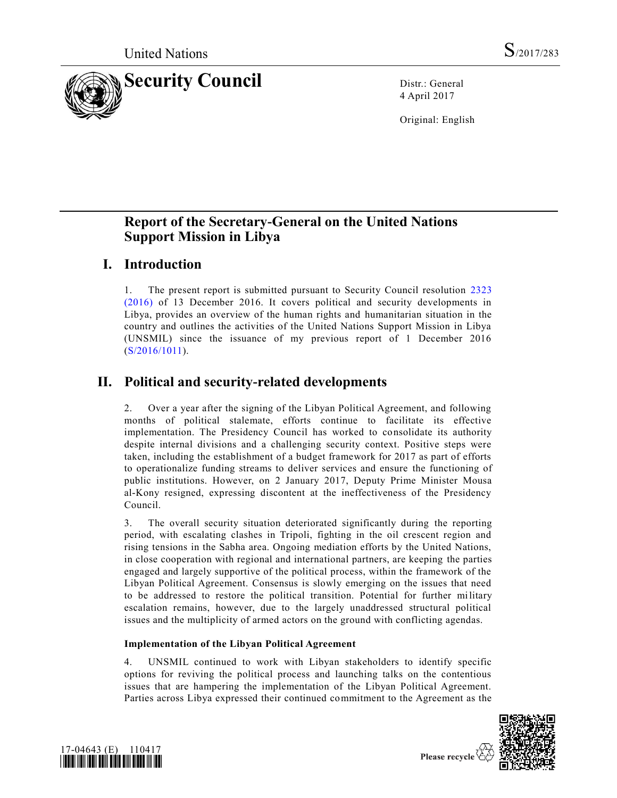

4 April 2017

Original: English

# **Report of the Secretary-General on the United Nations Support Mission in Libya**

## **I. Introduction**

1. The present report is submitted pursuant to Security Council resolution [2323](http://undocs.org/S/RES/2323(2016))  [\(2016\)](http://undocs.org/S/RES/2323(2016)) of 13 December 2016. It covers political and security developments in Libya, provides an overview of the human rights and humanitarian situation in the country and outlines the activities of the United Nations Support Mission in Libya (UNSMIL) since the issuance of my previous report of 1 December 2016 [\(S/2016/1011\)](http://undocs.org/S/2016/1011).

# **II. Political and security-related developments**

2. Over a year after the signing of the Libyan Political Agreement, and following months of political stalemate, efforts continue to facilitate its effective implementation. The Presidency Council has worked to consolidate its authority despite internal divisions and a challenging security context. Positive steps were taken, including the establishment of a budget framework for 2017 as part of efforts to operationalize funding streams to deliver services and ensure the functioning of public institutions. However, on 2 January 2017, Deputy Prime Minister Mousa al-Kony resigned, expressing discontent at the ineffectiveness of the Presidency Council.

3. The overall security situation deteriorated significantly during the reporting period, with escalating clashes in Tripoli, fighting in the oil crescent region and rising tensions in the Sabha area. Ongoing mediation efforts by the United Nations, in close cooperation with regional and international partners, are keeping the parties engaged and largely supportive of the political process, within the framework of the Libyan Political Agreement. Consensus is slowly emerging on the issues that need to be addressed to restore the political transition. Potential for further military escalation remains, however, due to the largely unaddressed structural political issues and the multiplicity of armed actors on the ground with conflicting agendas.

## **Implementation of the Libyan Political Agreement**

4. UNSMIL continued to work with Libyan stakeholders to identify specific options for reviving the political process and launching talks on the contentious issues that are hampering the implementation of the Libyan Political Agreement. Parties across Libya expressed their continued commitment to the Agreement as the



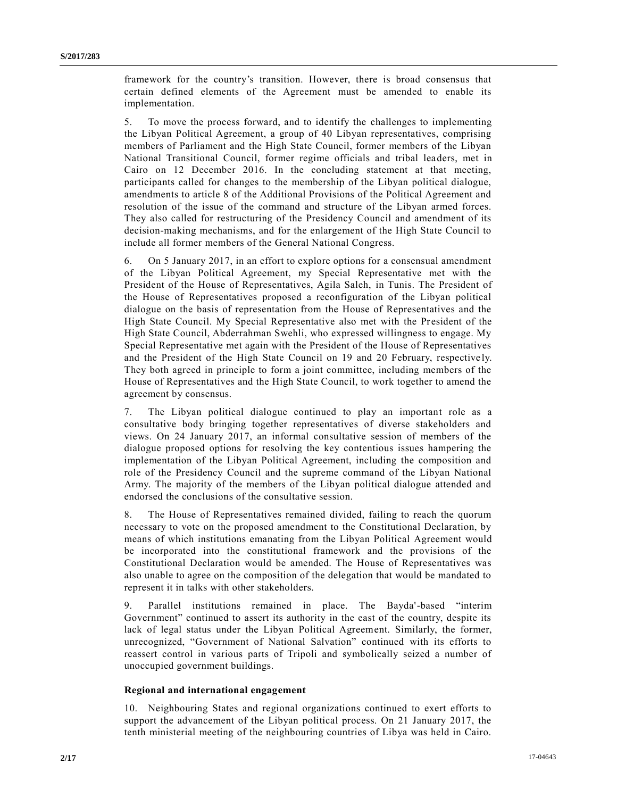framework for the country's transition. However, there is broad consensus that certain defined elements of the Agreement must be amended to enable its implementation.

5. To move the process forward, and to identify the challenges to implementing the Libyan Political Agreement, a group of 40 Libyan representatives, comprising members of Parliament and the High State Council, former members of the Libyan National Transitional Council, former regime officials and tribal leaders, met in Cairo on 12 December 2016. In the concluding statement at that meeting, participants called for changes to the membership of the Libyan political dialogue, amendments to article 8 of the Additional Provisions of the Political Agreement and resolution of the issue of the command and structure of the Libyan armed forces. They also called for restructuring of the Presidency Council and amendment of its decision-making mechanisms, and for the enlargement of the High State Council to include all former members of the General National Congress.

6. On 5 January 2017, in an effort to explore options for a consensual amendment of the Libyan Political Agreement, my Special Representative met with the President of the House of Representatives, Agila Saleh, in Tunis. The President of the House of Representatives proposed a reconfiguration of the Libyan political dialogue on the basis of representation from the House of Representatives and the High State Council. My Special Representative also met with the President of the High State Council, Abderrahman Swehli, who expressed willingness to engage. My Special Representative met again with the President of the House of Representatives and the President of the High State Council on 19 and 20 February, respective ly. They both agreed in principle to form a joint committee, including members of the House of Representatives and the High State Council, to work together to amend the agreement by consensus.

7. The Libyan political dialogue continued to play an important role as a consultative body bringing together representatives of diverse stakeholders and views. On 24 January 2017, an informal consultative session of members of the dialogue proposed options for resolving the key contentious issues hampering the implementation of the Libyan Political Agreement, including the composition and role of the Presidency Council and the supreme command of the Libyan National Army. The majority of the members of the Libyan political dialogue attended and endorsed the conclusions of the consultative session.

8. The House of Representatives remained divided, failing to reach the quorum necessary to vote on the proposed amendment to the Constitutional Declaration, by means of which institutions emanating from the Libyan Political Agreement would be incorporated into the constitutional framework and the provisions of the Constitutional Declaration would be amended. The House of Representatives was also unable to agree on the composition of the delegation that would be mandated to represent it in talks with other stakeholders.

9. Parallel institutions remained in place. The Bayda'-based "interim Government" continued to assert its authority in the east of the country, despite its lack of legal status under the Libyan Political Agreement. Similarly, the former, unrecognized, "Government of National Salvation" continued with its efforts to reassert control in various parts of Tripoli and symbolically seized a number of unoccupied government buildings.

## **Regional and international engagement**

10. Neighbouring States and regional organizations continued to exert efforts to support the advancement of the Libyan political process. On 21 January 2017, the tenth ministerial meeting of the neighbouring countries of Libya was held in Cairo.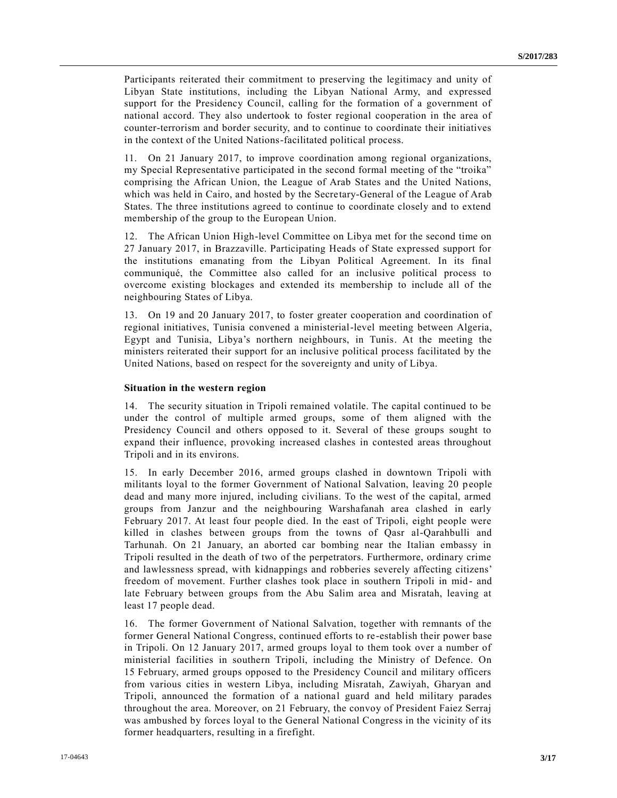Participants reiterated their commitment to preserving the legitimacy and unity of Libyan State institutions, including the Libyan National Army, and expressed support for the Presidency Council, calling for the formation of a government of national accord. They also undertook to foster regional cooperation in the area of counter-terrorism and border security, and to continue to coordinate their initiatives in the context of the United Nations-facilitated political process.

11. On 21 January 2017, to improve coordination among regional organizations, my Special Representative participated in the second formal meeting of the "troika" comprising the African Union, the League of Arab States and the United Nations, which was held in Cairo, and hosted by the Secretary-General of the League of Arab States. The three institutions agreed to continue to coordinate closely and to extend membership of the group to the European Union.

12. The African Union High-level Committee on Libya met for the second time on 27 January 2017, in Brazzaville. Participating Heads of State expressed support for the institutions emanating from the Libyan Political Agreement. In its final communiqué, the Committee also called for an inclusive political process to overcome existing blockages and extended its membership to include all of the neighbouring States of Libya.

13. On 19 and 20 January 2017, to foster greater cooperation and coordination of regional initiatives, Tunisia convened a ministerial-level meeting between Algeria, Egypt and Tunisia, Libya's northern neighbours, in Tunis. At the meeting the ministers reiterated their support for an inclusive political process facilitated by the United Nations, based on respect for the sovereignty and unity of Libya.

#### **Situation in the western region**

14. The security situation in Tripoli remained volatile. The capital continued to be under the control of multiple armed groups, some of them aligned with the Presidency Council and others opposed to it. Several of these groups sought to expand their influence, provoking increased clashes in contested areas throughout Tripoli and in its environs.

15. In early December 2016, armed groups clashed in downtown Tripoli with militants loyal to the former Government of National Salvation, leaving 20 people dead and many more injured, including civilians. To the west of the capital, armed groups from Janzur and the neighbouring Warshafanah area clashed in early February 2017. At least four people died. In the east of Tripoli, eight people were killed in clashes between groups from the towns of Qasr al-Qarahbulli and Tarhunah. On 21 January, an aborted car bombing near the Italian embassy in Tripoli resulted in the death of two of the perpetrators. Furthermore, ordinary crime and lawlessness spread, with kidnappings and robberies severely affecting citizens' freedom of movement. Further clashes took place in southern Tripoli in mid- and late February between groups from the Abu Salim area and Misratah, leaving at least 17 people dead.

16. The former Government of National Salvation, together with remnants of the former General National Congress, continued efforts to re-establish their power base in Tripoli. On 12 January 2017, armed groups loyal to them took over a number of ministerial facilities in southern Tripoli, including the Ministry of Defence. On 15 February, armed groups opposed to the Presidency Council and military officers from various cities in western Libya, including Misratah, Zawiyah, Gharyan and Tripoli, announced the formation of a national guard and held military parades throughout the area. Moreover, on 21 February, the convoy of President Faiez Serraj was ambushed by forces loyal to the General National Congress in the vicinity of its former headquarters, resulting in a firefight.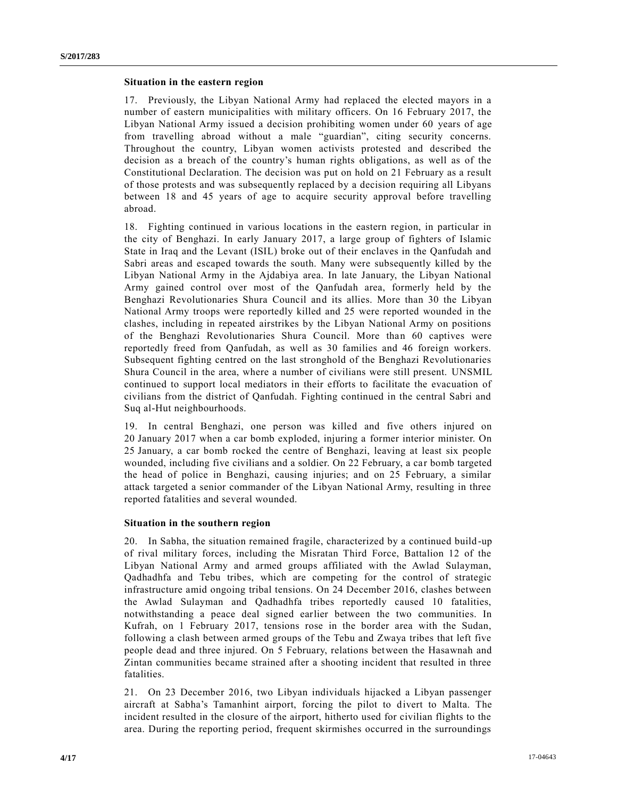#### **Situation in the eastern region**

17. Previously, the Libyan National Army had replaced the elected mayors in a number of eastern municipalities with military officers. On 16 February 2017, the Libyan National Army issued a decision prohibiting women under 60 years of age from travelling abroad without a male "guardian", citing security concerns. Throughout the country, Libyan women activists protested and described the decision as a breach of the country's human rights obligations, as well as of the Constitutional Declaration. The decision was put on hold on 21 February as a result of those protests and was subsequently replaced by a decision requiring all Libyans between 18 and 45 years of age to acquire security approval before travelling abroad.

18. Fighting continued in various locations in the eastern region, in particular in the city of Benghazi. In early January 2017, a large group of fighters of Islamic State in Iraq and the Levant (ISIL) broke out of their enclaves in the Qanfudah and Sabri areas and escaped towards the south. Many were subsequently killed by the Libyan National Army in the Ajdabiya area. In late January, the Libyan National Army gained control over most of the Qanfudah area, formerly held by the Benghazi Revolutionaries Shura Council and its allies. More than 30 the Libyan National Army troops were reportedly killed and 25 were reported wounded in the clashes, including in repeated airstrikes by the Libyan National Army on positions of the Benghazi Revolutionaries Shura Council. More than 60 captives were reportedly freed from Qanfudah, as well as 30 families and 46 foreign workers. Subsequent fighting centred on the last stronghold of the Benghazi Revolutionaries Shura Council in the area, where a number of civilians were still present. UNSMIL continued to support local mediators in their efforts to facilitate the evacuation of civilians from the district of Qanfudah. Fighting continued in the central Sabri and Suq al-Hut neighbourhoods.

19. In central Benghazi, one person was killed and five others injured on 20 January 2017 when a car bomb exploded, injuring a former interior minister. On 25 January, a car bomb rocked the centre of Benghazi, leaving at least six people wounded, including five civilians and a soldier. On 22 February, a car bomb targeted the head of police in Benghazi, causing injuries; and on 25 February, a similar attack targeted a senior commander of the Libyan National Army, resulting in three reported fatalities and several wounded.

#### **Situation in the southern region**

20. In Sabha, the situation remained fragile, characterized by a continued build -up of rival military forces, including the Misratan Third Force, Battalion 12 of the Libyan National Army and armed groups affiliated with the Awlad Sulayman, Qadhadhfa and Tebu tribes, which are competing for the control of strategic infrastructure amid ongoing tribal tensions. On 24 December 2016, clashes between the Awlad Sulayman and Qadhadhfa tribes reportedly caused 10 fatalities, notwithstanding a peace deal signed earlier between the two communities. In Kufrah, on 1 February 2017, tensions rose in the border area with the Sudan, following a clash between armed groups of the Tebu and Zwaya tribes that left five people dead and three injured. On 5 February, relations between the Hasawnah and Zintan communities became strained after a shooting incident that resulted in three fatalities.

21. On 23 December 2016, two Libyan individuals hijacked a Libyan passenger aircraft at Sabha's Tamanhint airport, forcing the pilot to divert to Malta. The incident resulted in the closure of the airport, hitherto used for civilian flights to the area. During the reporting period, frequent skirmishes occurred in the surroundings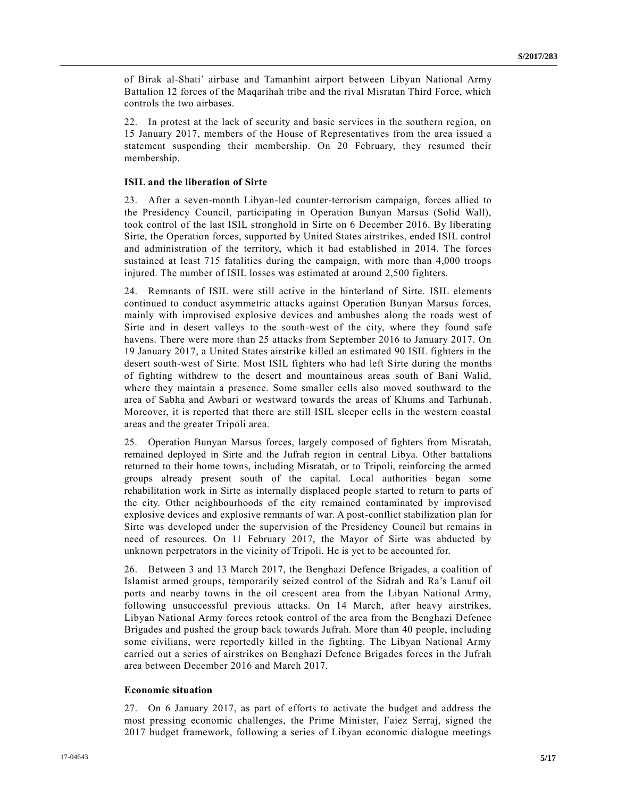of Birak al-Shati' airbase and Tamanhint airport between Libyan National Army Battalion 12 forces of the Maqarihah tribe and the rival Misratan Third Force, which controls the two airbases.

22. In protest at the lack of security and basic services in the southern region, on 15 January 2017, members of the House of Representatives from the area issued a statement suspending their membership. On 20 February, they resumed their membership.

### **ISIL and the liberation of Sirte**

23. After a seven-month Libyan-led counter-terrorism campaign, forces allied to the Presidency Council, participating in Operation Bunyan Marsus (Solid Wall), took control of the last ISIL stronghold in Sirte on 6 December 2016. By liberating Sirte, the Operation forces, supported by United States airstrikes, ended ISIL control and administration of the territory, which it had established in 2014. The forces sustained at least 715 fatalities during the campaign, with more than 4,000 troops injured. The number of ISIL losses was estimated at around 2,500 fighters.

24. Remnants of ISIL were still active in the hinterland of Sirte. ISIL elements continued to conduct asymmetric attacks against Operation Bunyan Marsus forces, mainly with improvised explosive devices and ambushes along the roads west of Sirte and in desert valleys to the south-west of the city, where they found safe havens. There were more than 25 attacks from September 2016 to January 2017. On 19 January 2017, a United States airstrike killed an estimated 90 ISIL fighters in the desert south-west of Sirte. Most ISIL fighters who had left Sirte during the months of fighting withdrew to the desert and mountainous areas south of Bani Walid, where they maintain a presence. Some smaller cells also moved southward to the area of Sabha and Awbari or westward towards the areas of Khums and Tarhunah. Moreover, it is reported that there are still ISIL sleeper cells in the western coastal areas and the greater Tripoli area.

25. Operation Bunyan Marsus forces, largely composed of fighters from Misratah, remained deployed in Sirte and the Jufrah region in central Libya. Other battalions returned to their home towns, including Misratah, or to Tripoli, reinforcing the armed groups already present south of the capital. Local authorities began some rehabilitation work in Sirte as internally displaced people started to return to parts of the city. Other neighbourhoods of the city remained contaminated by improvised explosive devices and explosive remnants of war. A post-conflict stabilization plan for Sirte was developed under the supervision of the Presidency Council but remains in need of resources. On 11 February 2017, the Mayor of Sirte was abducted by unknown perpetrators in the vicinity of Tripoli. He is yet to be accounted for.

26. Between 3 and 13 March 2017, the Benghazi Defence Brigades, a coalition of Islamist armed groups, temporarily seized control of the Sidrah and Ra's Lanuf oil ports and nearby towns in the oil crescent area from the Libyan National Army, following unsuccessful previous attacks. On 14 March, after heavy airstrikes, Libyan National Army forces retook control of the area from the Benghazi Defence Brigades and pushed the group back towards Jufrah. More than 40 people, including some civilians, were reportedly killed in the fighting. The Libyan National Army carried out a series of airstrikes on Benghazi Defence Brigades forces in the Jufrah area between December 2016 and March 2017.

#### **Economic situation**

27. On 6 January 2017, as part of efforts to activate the budget and address the most pressing economic challenges, the Prime Minister, Faiez Serraj, signed the 2017 budget framework, following a series of Libyan economic dialogue meetings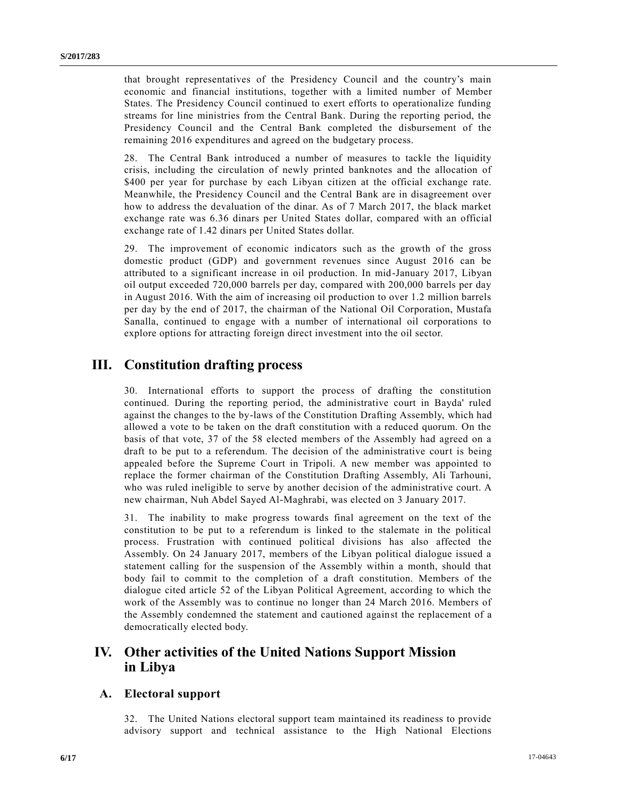that brought representatives of the Presidency Council and the country's main economic and financial institutions, together with a limited number of Member States. The Presidency Council continued to exert efforts to operationalize funding streams for line ministries from the Central Bank. During the reporting period, the Presidency Council and the Central Bank completed the disbursement of the remaining 2016 expenditures and agreed on the budgetary process.

28. The Central Bank introduced a number of measures to tackle the liquidity crisis, including the circulation of newly printed banknotes and the allocation of \$400 per year for purchase by each Libyan citizen at the official exchange rate. Meanwhile, the Presidency Council and the Central Bank are in disagreement over how to address the devaluation of the dinar. As of 7 March 2017, the black market exchange rate was 6.36 dinars per United States dollar, compared with an official exchange rate of 1.42 dinars per United States dollar.

29. The improvement of economic indicators such as the growth of the gross domestic product (GDP) and government revenues since August 2016 can be attributed to a significant increase in oil production. In mid-January 2017, Libyan oil output exceeded 720,000 barrels per day, compared with 200,000 barrels per day in August 2016. With the aim of increasing oil production to over 1.2 million barrels per day by the end of 2017, the chairman of the National Oil Corporation, Mustafa Sanalla, continued to engage with a number of international oil corporations to explore options for attracting foreign direct investment into the oil sector.

## **III. Constitution drafting process**

30. International efforts to support the process of drafting the constitution continued. During the reporting period, the administrative court in Bayda' ruled against the changes to the by-laws of the Constitution Drafting Assembly, which had allowed a vote to be taken on the draft constitution with a reduced quorum. On the basis of that vote, 37 of the 58 elected members of the Assembly had agreed on a draft to be put to a referendum. The decision of the administrative court is being appealed before the Supreme Court in Tripoli. A new member was appointed to replace the former chairman of the Constitution Drafting Assembly, Ali Tarhouni, who was ruled ineligible to serve by another decision of the administrative court. A new chairman, Nuh Abdel Sayed Al-Maghrabi, was elected on 3 January 2017.

31. The inability to make progress towards final agreement on the text of the constitution to be put to a referendum is linked to the stalemate in the political process. Frustration with continued political divisions has also affected the Assembly. On 24 January 2017, members of the Libyan political dialogue issued a statement calling for the suspension of the Assembly within a month, should that body fail to commit to the completion of a draft constitution. Members of the dialogue cited article 52 of the Libyan Political Agreement, according to which the work of the Assembly was to continue no longer than 24 March 2016. Members of the Assembly condemned the statement and cautioned against the replacement of a democratically elected body.

## **IV. Other activities of the United Nations Support Mission in Libya**

## **A. Electoral support**

32. The United Nations electoral support team maintained its readiness to provide advisory support and technical assistance to the High National Elections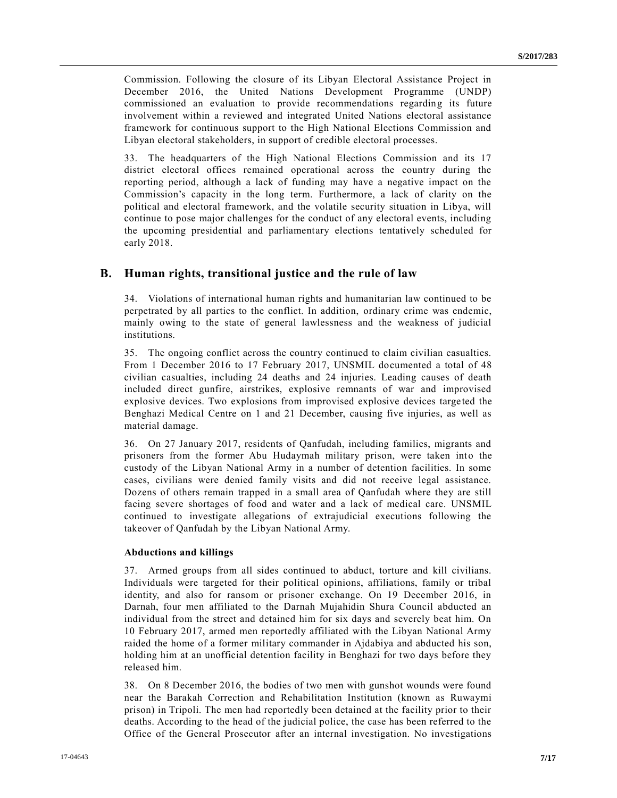Commission. Following the closure of its Libyan Electoral Assistance Project in December 2016, the United Nations Development Programme (UNDP) commissioned an evaluation to provide recommendations regarding its future involvement within a reviewed and integrated United Nations electoral assistance framework for continuous support to the High National Elections Commission and Libyan electoral stakeholders, in support of credible electoral processes.

33. The headquarters of the High National Elections Commission and its 17 district electoral offices remained operational across the country during the reporting period, although a lack of funding may have a negative impact on the Commission's capacity in the long term. Furthermore, a lack of clarity on the political and electoral framework, and the volatile security situation in Libya, will continue to pose major challenges for the conduct of any electoral events, including the upcoming presidential and parliamentary elections tentatively scheduled for early 2018.

## **B. Human rights, transitional justice and the rule of law**

34. Violations of international human rights and humanitarian law continued to be perpetrated by all parties to the conflict. In addition, ordinary crime was endemic, mainly owing to the state of general lawlessness and the weakness of judicial institutions.

35. The ongoing conflict across the country continued to claim civilian casualties. From 1 December 2016 to 17 February 2017, UNSMIL documented a total of 48 civilian casualties, including 24 deaths and 24 injuries. Leading causes of death included direct gunfire, airstrikes, explosive remnants of war and improvised explosive devices. Two explosions from improvised explosive devices targeted the Benghazi Medical Centre on 1 and 21 December, causing five injuries, as well as material damage.

36. On 27 January 2017, residents of Qanfudah, including families, migrants and prisoners from the former Abu Hudaymah military prison, were taken into the custody of the Libyan National Army in a number of detention facilities. In some cases, civilians were denied family visits and did not receive legal assistance. Dozens of others remain trapped in a small area of Qanfudah where they are still facing severe shortages of food and water and a lack of medical care. UNSMIL continued to investigate allegations of extrajudicial executions following the takeover of Qanfudah by the Libyan National Army.

## **Abductions and killings**

37. Armed groups from all sides continued to abduct, torture and kill civilians. Individuals were targeted for their political opinions, affiliations, family or tribal identity, and also for ransom or prisoner exchange. On 19 December 2016, in Darnah, four men affiliated to the Darnah Mujahidin Shura Council abducted an individual from the street and detained him for six days and severely beat him. On 10 February 2017, armed men reportedly affiliated with the Libyan National Army raided the home of a former military commander in Ajdabiya and abducted his son, holding him at an unofficial detention facility in Benghazi for two days before they released him.

38. On 8 December 2016, the bodies of two men with gunshot wounds were found near the Barakah Correction and Rehabilitation Institution (known as Ruwaymi prison) in Tripoli. The men had reportedly been detained at the facility prior to their deaths. According to the head of the judicial police, the case has been referred to the Office of the General Prosecutor after an internal investigation. No investigations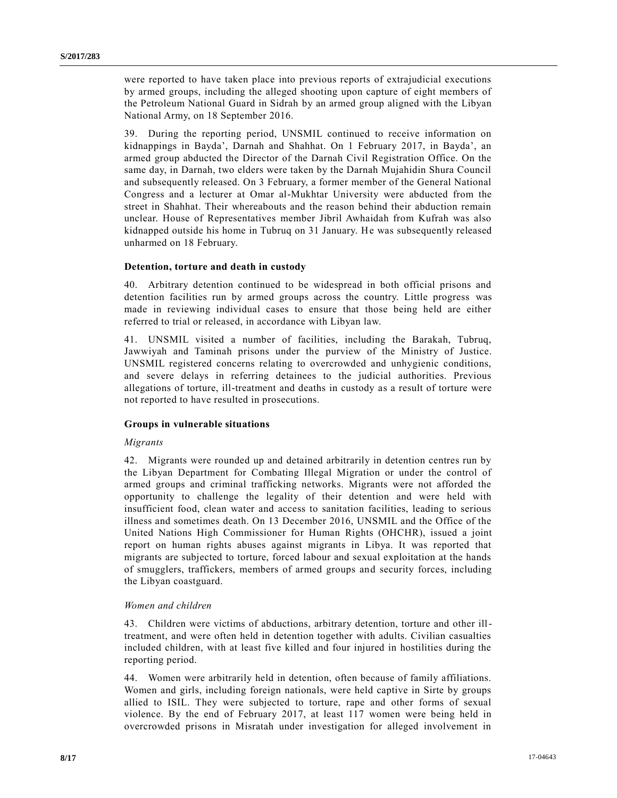were reported to have taken place into previous reports of extrajudicial executions by armed groups, including the alleged shooting upon capture of eight members of the Petroleum National Guard in Sidrah by an armed group aligned with the Libyan National Army, on 18 September 2016.

39. During the reporting period, UNSMIL continued to receive information on kidnappings in Bayda', Darnah and Shahhat. On 1 February 2017, in Bayda', an armed group abducted the Director of the Darnah Civil Registration Office. On the same day, in Darnah, two elders were taken by the Darnah Mujahidin Shura Council and subsequently released. On 3 February, a former member of the General National Congress and a lecturer at Omar al-Mukhtar University were abducted from the street in Shahhat. Their whereabouts and the reason behind their abduction remain unclear. House of Representatives member Jibril Awhaidah from Kufrah was also kidnapped outside his home in Tubruq on 31 January. He was subsequently released unharmed on 18 February.

#### **Detention, torture and death in custody**

40. Arbitrary detention continued to be widespread in both official prisons and detention facilities run by armed groups across the country. Little progress was made in reviewing individual cases to ensure that those being held are either referred to trial or released, in accordance with Libyan law.

41. UNSMIL visited a number of facilities, including the Barakah, Tubruq, Jawwiyah and Taminah prisons under the purview of the Ministry of Justice. UNSMIL registered concerns relating to overcrowded and unhygienic conditions, and severe delays in referring detainees to the judicial authorities. Previous allegations of torture, ill-treatment and deaths in custody as a result of torture were not reported to have resulted in prosecutions.

#### **Groups in vulnerable situations**

#### *Migrants*

42. Migrants were rounded up and detained arbitrarily in detention centres run by the Libyan Department for Combating Illegal Migration or under the control of armed groups and criminal trafficking networks. Migrants were not afforded the opportunity to challenge the legality of their detention and were held with insufficient food, clean water and access to sanitation facilities, leading to serious illness and sometimes death. On 13 December 2016, UNSMIL and the Office of the United Nations High Commissioner for Human Rights (OHCHR), issued a joint report on human rights abuses against migrants in Libya. It was reported that migrants are subjected to torture, forced labour and sexual exploitation at the hands of smugglers, traffickers, members of armed groups and security forces, including the Libyan coastguard.

## *Women and children*

43. Children were victims of abductions, arbitrary detention, torture and other illtreatment, and were often held in detention together with adults. Civilian casualties included children, with at least five killed and four injured in hostilities during the reporting period.

44. Women were arbitrarily held in detention, often because of family affiliations. Women and girls, including foreign nationals, were held captive in Sirte by groups allied to ISIL. They were subjected to torture, rape and other forms of sexual violence. By the end of February 2017, at least 117 women were being held in overcrowded prisons in Misratah under investigation for alleged involvement in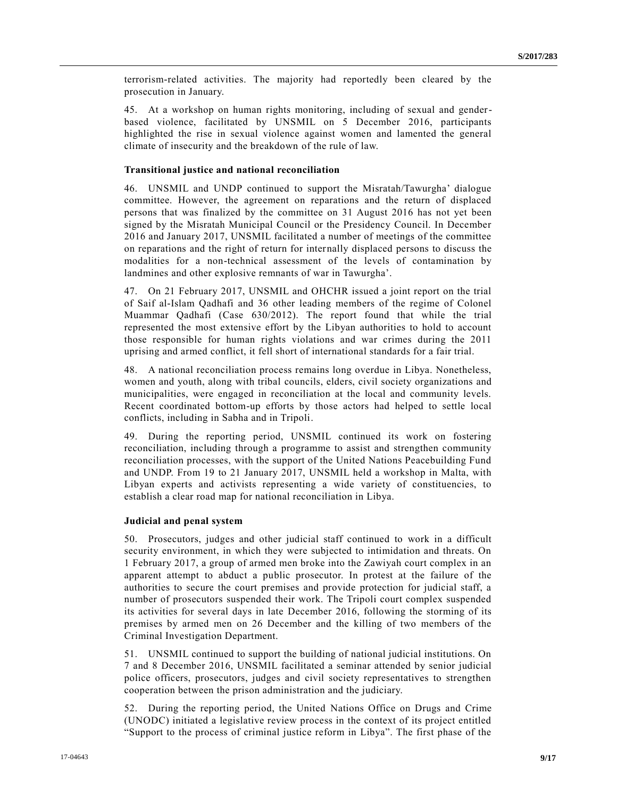terrorism-related activities. The majority had reportedly been cleared by the prosecution in January.

45. At a workshop on human rights monitoring, including of sexual and genderbased violence, facilitated by UNSMIL on 5 December 2016, participants highlighted the rise in sexual violence against women and lamented the general climate of insecurity and the breakdown of the rule of law.

#### **Transitional justice and national reconciliation**

46. UNSMIL and UNDP continued to support the Misratah/Tawurgha' dialogue committee. However, the agreement on reparations and the return of displaced persons that was finalized by the committee on 31 August 2016 has not yet been signed by the Misratah Municipal Council or the Presidency Council. In December 2016 and January 2017, UNSMIL facilitated a number of meetings of the committee on reparations and the right of return for internally displaced persons to discuss the modalities for a non-technical assessment of the levels of contamination by landmines and other explosive remnants of war in Tawurgha'.

47. On 21 February 2017, UNSMIL and OHCHR issued a joint report on the trial of Saif al-Islam Qadhafi and 36 other leading members of the regime of Colonel Muammar Qadhafi (Case 630/2012). The report found that while the trial represented the most extensive effort by the Libyan authorities to hold to account those responsible for human rights violations and war crimes during the 2011 uprising and armed conflict, it fell short of international standards for a fair trial.

48. A national reconciliation process remains long overdue in Libya. Nonetheless, women and youth, along with tribal councils, elders, civil society organizations and municipalities, were engaged in reconciliation at the local and community levels. Recent coordinated bottom-up efforts by those actors had helped to settle local conflicts, including in Sabha and in Tripoli.

49. During the reporting period, UNSMIL continued its work on fostering reconciliation, including through a programme to assist and strengthen community reconciliation processes, with the support of the United Nations Peacebuilding Fund and UNDP. From 19 to 21 January 2017, UNSMIL held a workshop in Malta, with Libyan experts and activists representing a wide variety of constituencies, to establish a clear road map for national reconciliation in Libya.

#### **Judicial and penal system**

50. Prosecutors, judges and other judicial staff continued to work in a difficult security environment, in which they were subjected to intimidation and threats. On 1 February 2017, a group of armed men broke into the Zawiyah court complex in an apparent attempt to abduct a public prosecutor. In protest at the failure of the authorities to secure the court premises and provide protection for judicial staff, a number of prosecutors suspended their work. The Tripoli court complex suspended its activities for several days in late December 2016, following the storming of its premises by armed men on 26 December and the killing of two members of the Criminal Investigation Department.

51. UNSMIL continued to support the building of national judicial institutions. On 7 and 8 December 2016, UNSMIL facilitated a seminar attended by senior judicial police officers, prosecutors, judges and civil society representatives to strengthen cooperation between the prison administration and the judiciary.

52. During the reporting period, the United Nations Office on Drugs and Crime (UNODC) initiated a legislative review process in the context of its project entitled "Support to the process of criminal justice reform in Libya". The first phase of the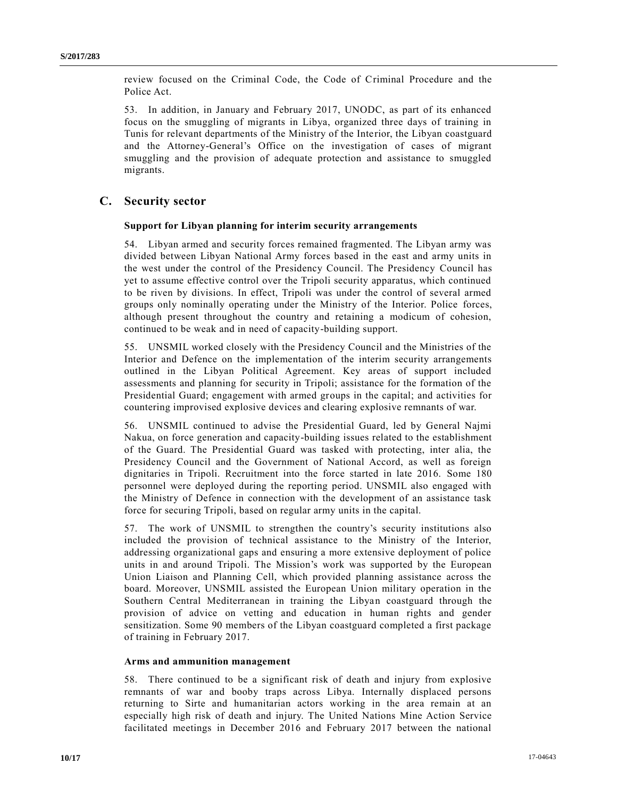review focused on the Criminal Code, the Code of Criminal Procedure and the Police Act.

53. In addition, in January and February 2017, UNODC, as part of its enhanced focus on the smuggling of migrants in Libya, organized three days of training in Tunis for relevant departments of the Ministry of the Interior, the Libyan coastguard and the Attorney-General's Office on the investigation of cases of migrant smuggling and the provision of adequate protection and assistance to smuggled migrants.

## **C. Security sector**

#### **Support for Libyan planning for interim security arrangements**

54. Libyan armed and security forces remained fragmented. The Libyan army was divided between Libyan National Army forces based in the east and army units in the west under the control of the Presidency Council. The Presidency Council has yet to assume effective control over the Tripoli security apparatus, which continued to be riven by divisions. In effect, Tripoli was under the control of several armed groups only nominally operating under the Ministry of the Interior. Police forces, although present throughout the country and retaining a modicum of cohesion, continued to be weak and in need of capacity-building support.

55. UNSMIL worked closely with the Presidency Council and the Ministries of the Interior and Defence on the implementation of the interim security arrangements outlined in the Libyan Political Agreement. Key areas of support included assessments and planning for security in Tripoli; assistance for the formation of the Presidential Guard; engagement with armed groups in the capital; and activities for countering improvised explosive devices and clearing explosive remnants of war.

56. UNSMIL continued to advise the Presidential Guard, led by General Najmi Nakua, on force generation and capacity-building issues related to the establishment of the Guard. The Presidential Guard was tasked with protecting, inter alia, the Presidency Council and the Government of National Accord, as well as foreign dignitaries in Tripoli. Recruitment into the force started in late 2016. Some 180 personnel were deployed during the reporting period. UNSMIL also engaged with the Ministry of Defence in connection with the development of an assistance task force for securing Tripoli, based on regular army units in the capital.

57. The work of UNSMIL to strengthen the country's security institutions also included the provision of technical assistance to the Ministry of the Interior, addressing organizational gaps and ensuring a more extensive deployment of police units in and around Tripoli. The Mission's work was supported by the European Union Liaison and Planning Cell, which provided planning assistance across the board. Moreover, UNSMIL assisted the European Union military operation in the Southern Central Mediterranean in training the Libyan coastguard through the provision of advice on vetting and education in human rights and gender sensitization. Some 90 members of the Libyan coastguard completed a first package of training in February 2017.

#### **Arms and ammunition management**

58. There continued to be a significant risk of death and injury from explosive remnants of war and booby traps across Libya. Internally displaced persons returning to Sirte and humanitarian actors working in the area remain at an especially high risk of death and injury. The United Nations Mine Action Service facilitated meetings in December 2016 and February 2017 between the national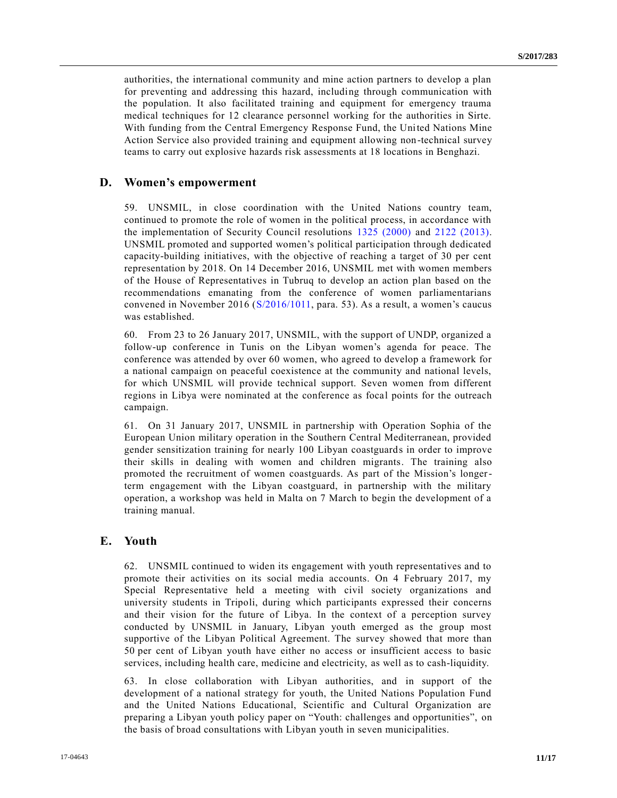authorities, the international community and mine action partners to develop a plan for preventing and addressing this hazard, including through communication with the population. It also facilitated training and equipment for emergency trauma medical techniques for 12 clearance personnel working for the authorities in Sirte. With funding from the Central Emergency Response Fund, the United Nations Mine Action Service also provided training and equipment allowing non-technical survey teams to carry out explosive hazards risk assessments at 18 locations in Benghazi.

## **D. Women's empowerment**

59. UNSMIL, in close coordination with the United Nations country team, continued to promote the role of women in the political process, in accordance with the implementation of Security Council resolutions [1325 \(2000\)](http://undocs.org/S/RES/1325(2000)) and [2122 \(2013\).](http://undocs.org/S/RES/2122(2013)) UNSMIL promoted and supported women's political participation through dedicated capacity-building initiatives, with the objective of reaching a target of 30 per cent representation by 2018. On 14 December 2016, UNSMIL met with women members of the House of Representatives in Tubruq to develop an action plan based on the recommendations emanating from the conference of women parliamentarians convened in November 2016 [\(S/2016/1011,](http://undocs.org/S/2016/1011) para. 53). As a result, a women's caucus was established.

60. From 23 to 26 January 2017, UNSMIL, with the support of UNDP, organized a follow-up conference in Tunis on the Libyan women's agenda for peace. The conference was attended by over 60 women, who agreed to develop a framework for a national campaign on peaceful coexistence at the community and national levels, for which UNSMIL will provide technical support. Seven women from different regions in Libya were nominated at the conference as focal points for the outreach campaign.

61. On 31 January 2017, UNSMIL in partnership with Operation Sophia of the European Union military operation in the Southern Central Mediterranean, provided gender sensitization training for nearly 100 Libyan coastguards in order to improve their skills in dealing with women and children migrants. The training also promoted the recruitment of women coastguards. As part of the Mission's longerterm engagement with the Libyan coastguard, in partnership with the military operation, a workshop was held in Malta on 7 March to begin the development of a training manual.

#### **E. Youth**

62. UNSMIL continued to widen its engagement with youth representatives and to promote their activities on its social media accounts. On 4 February 2017, my Special Representative held a meeting with civil society organizations and university students in Tripoli, during which participants expressed their concerns and their vision for the future of Libya. In the context of a perception survey conducted by UNSMIL in January, Libyan youth emerged as the group most supportive of the Libyan Political Agreement. The survey showed that more than 50 per cent of Libyan youth have either no access or insufficient access to basic services, including health care, medicine and electricity, as well as to cash-liquidity.

63. In close collaboration with Libyan authorities, and in support of the development of a national strategy for youth, the United Nations Population Fund and the United Nations Educational, Scientific and Cultural Organization are preparing a Libyan youth policy paper on "Youth: challenges and opportunities", on the basis of broad consultations with Libyan youth in seven municipalities.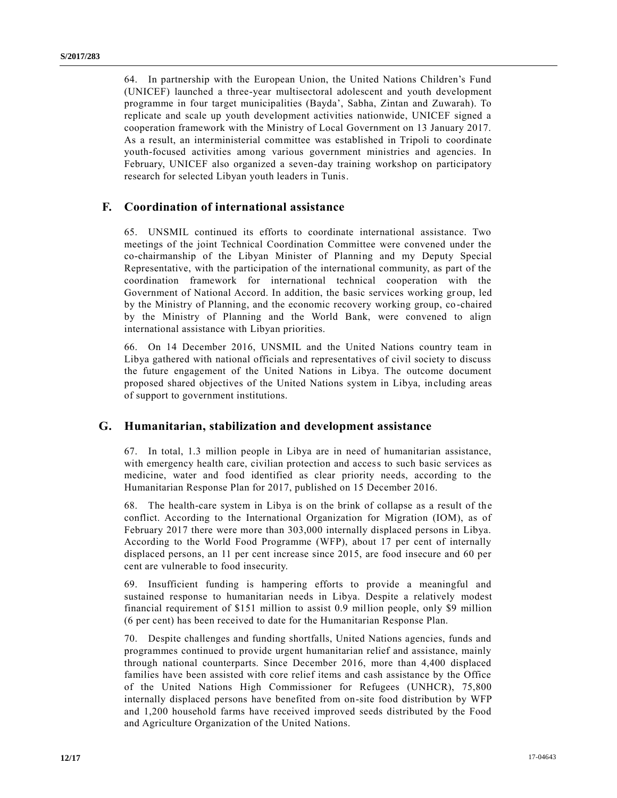64. In partnership with the European Union, the United Nations Children's Fund (UNICEF) launched a three-year multisectoral adolescent and youth development programme in four target municipalities (Bayda', Sabha, Zintan and Zuwarah). To replicate and scale up youth development activities nationwide, UNICEF signed a cooperation framework with the Ministry of Local Government on 13 January 2017. As a result, an interministerial committee was established in Tripoli to coordinate youth-focused activities among various government ministries and agencies. In February, UNICEF also organized a seven-day training workshop on participatory research for selected Libyan youth leaders in Tunis.

## **F. Coordination of international assistance**

65. UNSMIL continued its efforts to coordinate international assistance. Two meetings of the joint Technical Coordination Committee were convened under the co-chairmanship of the Libyan Minister of Planning and my Deputy Special Representative, with the participation of the international community, as part of the coordination framework for international technical cooperation with the Government of National Accord. In addition, the basic services working group, led by the Ministry of Planning, and the economic recovery working group, co -chaired by the Ministry of Planning and the World Bank, were convened to align international assistance with Libyan priorities.

66. On 14 December 2016, UNSMIL and the United Nations country team in Libya gathered with national officials and representatives of civil society to discuss the future engagement of the United Nations in Libya. The outcome document proposed shared objectives of the United Nations system in Libya, including areas of support to government institutions.

## **G. Humanitarian, stabilization and development assistance**

67. In total, 1.3 million people in Libya are in need of humanitarian assistance, with emergency health care, civilian protection and access to such basic services as medicine, water and food identified as clear priority needs, according to the Humanitarian Response Plan for 2017, published on 15 December 2016.

68. The health-care system in Libya is on the brink of collapse as a result of the conflict. According to the International Organization for Migration (IOM), as of February 2017 there were more than 303,000 internally displaced persons in Libya. According to the World Food Programme (WFP), about 17 per cent of internally displaced persons, an 11 per cent increase since 2015, are food insecure and 60 per cent are vulnerable to food insecurity.

69. Insufficient funding is hampering efforts to provide a meaningful and sustained response to humanitarian needs in Libya. Despite a relatively modest financial requirement of \$151 million to assist 0.9 million people, only \$9 million (6 per cent) has been received to date for the Humanitarian Response Plan.

70. Despite challenges and funding shortfalls, United Nations agencies, funds and programmes continued to provide urgent humanitarian relief and assistance, mainly through national counterparts. Since December 2016, more than 4,400 displaced families have been assisted with core relief items and cash assistance by the Office of the United Nations High Commissioner for Refugees (UNHCR), 75,800 internally displaced persons have benefited from on-site food distribution by WFP and 1,200 household farms have received improved seeds distributed by the Food and Agriculture Organization of the United Nations.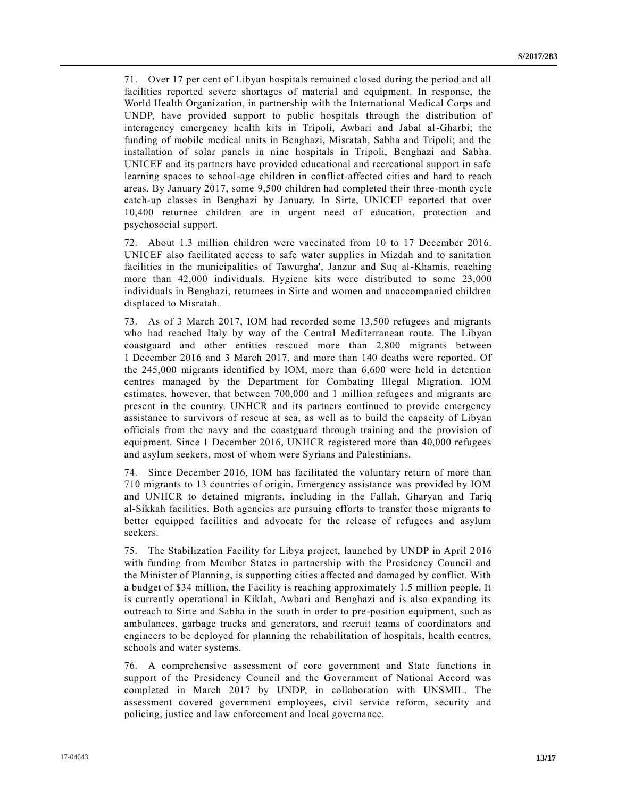71. Over 17 per cent of Libyan hospitals remained closed during the period and all facilities reported severe shortages of material and equipment. In response, the World Health Organization, in partnership with the International Medical Corps and UNDP, have provided support to public hospitals through the distribution of interagency emergency health kits in Tripoli, Awbari and Jabal al-Gharbi; the funding of mobile medical units in Benghazi, Misratah, Sabha and Tripoli; and the installation of solar panels in nine hospitals in Tripoli, Benghazi and Sabha. UNICEF and its partners have provided educational and recreational support in safe learning spaces to school-age children in conflict-affected cities and hard to reach areas. By January 2017, some 9,500 children had completed their three-month cycle catch-up classes in Benghazi by January. In Sirte, UNICEF reported that over 10,400 returnee children are in urgent need of education, protection and psychosocial support.

72. About 1.3 million children were vaccinated from 10 to 17 December 2016. UNICEF also facilitated access to safe water supplies in Mizdah and to sanitation facilities in the municipalities of Tawurgha', Janzur and Suq al-Khamis, reaching more than 42,000 individuals. Hygiene kits were distributed to some 23,000 individuals in Benghazi, returnees in Sirte and women and unaccompanied children displaced to Misratah.

73. As of 3 March 2017, IOM had recorded some 13,500 refugees and migrants who had reached Italy by way of the Central Mediterranean route. The Libyan coastguard and other entities rescued more than 2,800 migrants between 1 December 2016 and 3 March 2017, and more than 140 deaths were reported. Of the 245,000 migrants identified by IOM, more than 6,600 were held in detention centres managed by the Department for Combating Illegal Migration. IOM estimates, however, that between 700,000 and 1 million refugees and migrants are present in the country. UNHCR and its partners continued to provide emergency assistance to survivors of rescue at sea, as well as to build the capacity of Libyan officials from the navy and the coastguard through training and the provision of equipment. Since 1 December 2016, UNHCR registered more than 40,000 refugees and asylum seekers, most of whom were Syrians and Palestinians.

74. Since December 2016, IOM has facilitated the voluntary return of more than 710 migrants to 13 countries of origin. Emergency assistance was provided by IOM and UNHCR to detained migrants, including in the Fallah, Gharyan and Tariq al-Sikkah facilities. Both agencies are pursuing efforts to transfer those migrants to better equipped facilities and advocate for the release of refugees and asylum seekers.

75. The Stabilization Facility for Libya project, launched by UNDP in April 2016 with funding from Member States in partnership with the Presidency Council and the Minister of Planning, is supporting cities affected and damaged by conflict. With a budget of \$34 million, the Facility is reaching approximately 1.5 million people. It is currently operational in Kiklah, Awbari and Benghazi and is also expanding its outreach to Sirte and Sabha in the south in order to pre-position equipment, such as ambulances, garbage trucks and generators, and recruit teams of coordinators and engineers to be deployed for planning the rehabilitation of hospitals, health centres, schools and water systems.

76. A comprehensive assessment of core government and State functions in support of the Presidency Council and the Government of National Accord was completed in March 2017 by UNDP, in collaboration with UNSMIL. The assessment covered government employees, civil service reform, security and policing, justice and law enforcement and local governance.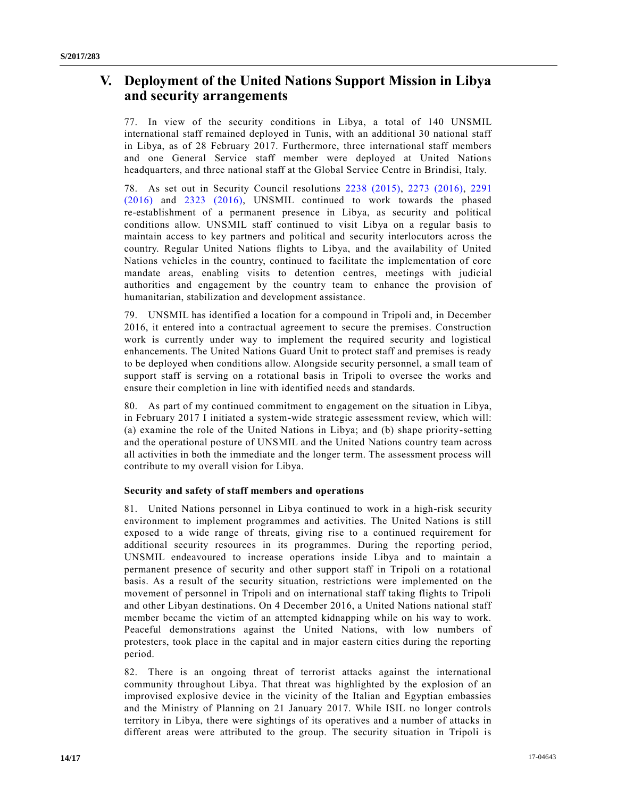# **V. Deployment of the United Nations Support Mission in Libya and security arrangements**

77. In view of the security conditions in Libya, a total of 140 UNSMIL international staff remained deployed in Tunis, with an additional 30 national staff in Libya, as of 28 February 2017. Furthermore, three international staff members and one General Service staff member were deployed at United Nations headquarters, and three national staff at the Global Service Centre in Brindisi, Italy.

78. As set out in Security Council resolutions [2238 \(2015\),](http://undocs.org/S/RES/2238(2015)) [2273 \(2016\),](http://undocs.org/S/RES/2273(2016)) [2291](http://undocs.org/S/RES/2291(2016))  [\(2016\)](http://undocs.org/S/RES/2291(2016)) and [2323 \(2016\),](http://undocs.org/S/RES/2323(2016)) UNSMIL continued to work towards the phased re-establishment of a permanent presence in Libya, as security and political conditions allow. UNSMIL staff continued to visit Libya on a regular basis to maintain access to key partners and political and security interlocutors across the country. Regular United Nations flights to Libya, and the availability of United Nations vehicles in the country, continued to facilitate the implementation of core mandate areas, enabling visits to detention centres, meetings with judicial authorities and engagement by the country team to enhance the provision of humanitarian, stabilization and development assistance.

79. UNSMIL has identified a location for a compound in Tripoli and, in December 2016, it entered into a contractual agreement to secure the premises. Construction work is currently under way to implement the required security and logistical enhancements. The United Nations Guard Unit to protect staff and premises is ready to be deployed when conditions allow. Alongside security personnel, a small team of support staff is serving on a rotational basis in Tripoli to oversee the works and ensure their completion in line with identified needs and standards.

80. As part of my continued commitment to engagement on the situation in Libya, in February 2017 I initiated a system-wide strategic assessment review, which will: (a) examine the role of the United Nations in Libya; and (b) shape priority-setting and the operational posture of UNSMIL and the United Nations country team across all activities in both the immediate and the longer term. The assessment process will contribute to my overall vision for Libya.

## **Security and safety of staff members and operations**

81. United Nations personnel in Libya continued to work in a high-risk security environment to implement programmes and activities. The United Nations is still exposed to a wide range of threats, giving rise to a continued requirement for additional security resources in its programmes. During the reporting period, UNSMIL endeavoured to increase operations inside Libya and to maintain a permanent presence of security and other support staff in Tripoli on a rotational basis. As a result of the security situation, restrictions were implemented on the movement of personnel in Tripoli and on international staff taking flights to Tripoli and other Libyan destinations. On 4 December 2016, a United Nations national staff member became the victim of an attempted kidnapping while on his way to work. Peaceful demonstrations against the United Nations, with low numbers of protesters, took place in the capital and in major eastern cities during the reporting period.

82. There is an ongoing threat of terrorist attacks against the international community throughout Libya. That threat was highlighted by the explosion of an improvised explosive device in the vicinity of the Italian and Egyptian embassies and the Ministry of Planning on 21 January 2017. While ISIL no longer controls territory in Libya, there were sightings of its operatives and a number of attacks in different areas were attributed to the group. The security situation in Tripoli is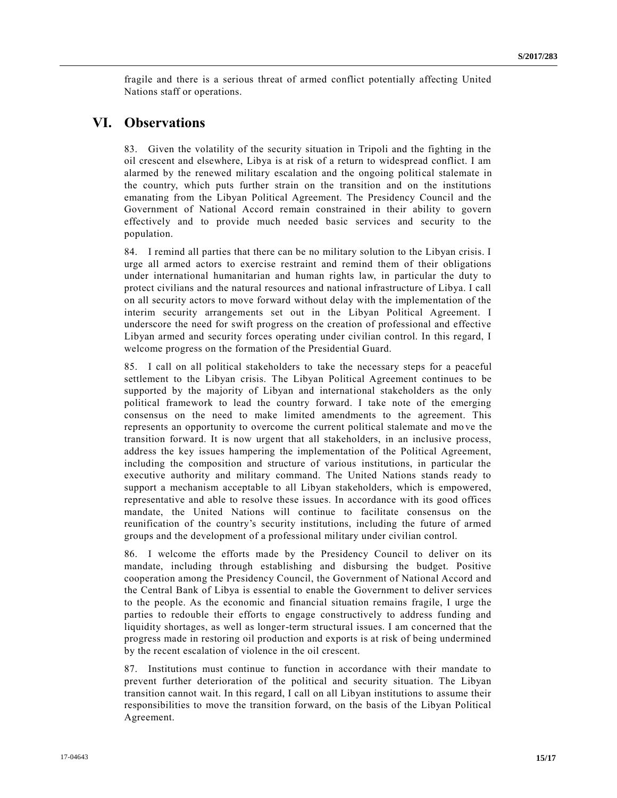fragile and there is a serious threat of armed conflict potentially affecting United Nations staff or operations.

## **VI. Observations**

83. Given the volatility of the security situation in Tripoli and the fighting in the oil crescent and elsewhere, Libya is at risk of a return to widespread conflict. I am alarmed by the renewed military escalation and the ongoing political stalemate in the country, which puts further strain on the transition and on the institutions emanating from the Libyan Political Agreement. The Presidency Council and the Government of National Accord remain constrained in their ability to govern effectively and to provide much needed basic services and security to the population.

84. I remind all parties that there can be no military solution to the Libyan crisis. I urge all armed actors to exercise restraint and remind them of their obligations under international humanitarian and human rights law, in particular the duty to protect civilians and the natural resources and national infrastructure of Libya. I call on all security actors to move forward without delay with the implementation of the interim security arrangements set out in the Libyan Political Agreement. I underscore the need for swift progress on the creation of professional and effective Libyan armed and security forces operating under civilian control. In this regard, I welcome progress on the formation of the Presidential Guard.

85. I call on all political stakeholders to take the necessary steps for a peaceful settlement to the Libyan crisis. The Libyan Political Agreement continues to be supported by the majority of Libyan and international stakeholders as the only political framework to lead the country forward. I take note of the emerging consensus on the need to make limited amendments to the agreement. This represents an opportunity to overcome the current political stalemate and mo ve the transition forward. It is now urgent that all stakeholders, in an inclusive process, address the key issues hampering the implementation of the Political Agreement, including the composition and structure of various institutions, in particular the executive authority and military command. The United Nations stands ready to support a mechanism acceptable to all Libyan stakeholders, which is empowered, representative and able to resolve these issues. In accordance with its good offices mandate, the United Nations will continue to facilitate consensus on the reunification of the country's security institutions, including the future of armed groups and the development of a professional military under civilian control.

86. I welcome the efforts made by the Presidency Council to deliver on its mandate, including through establishing and disbursing the budget. Positive cooperation among the Presidency Council, the Government of National Accord and the Central Bank of Libya is essential to enable the Government to deliver services to the people. As the economic and financial situation remains fragile, I urge the parties to redouble their efforts to engage constructively to address funding and liquidity shortages, as well as longer-term structural issues. I am concerned that the progress made in restoring oil production and exports is at risk of being undermined by the recent escalation of violence in the oil crescent.

87. Institutions must continue to function in accordance with their mandate to prevent further deterioration of the political and security situation. The Libyan transition cannot wait. In this regard, I call on all Libyan institutions to assume their responsibilities to move the transition forward, on the basis of the Libyan Political Agreement.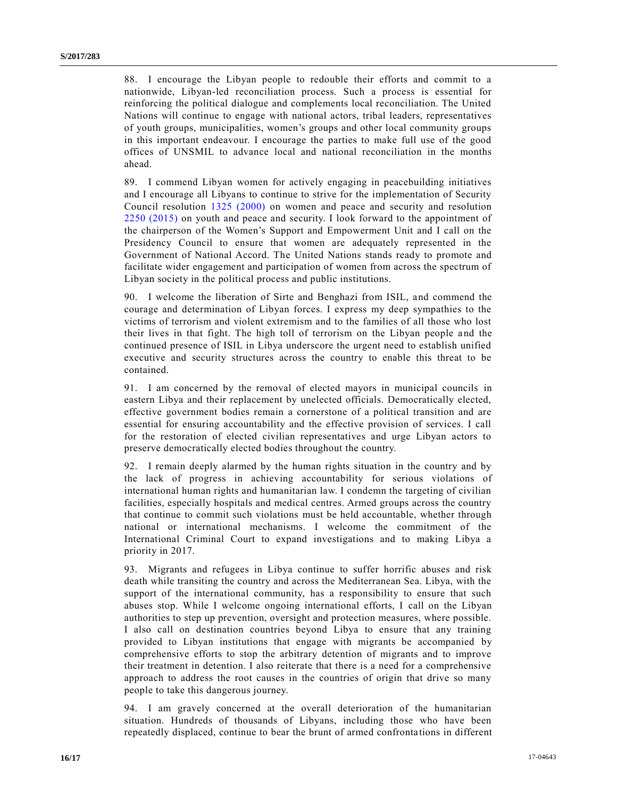88. I encourage the Libyan people to redouble their efforts and commit to a nationwide, Libyan-led reconciliation process. Such a process is essential for reinforcing the political dialogue and complements local reconciliation. The United Nations will continue to engage with national actors, tribal leaders, representatives of youth groups, municipalities, women's groups and other local community groups in this important endeavour. I encourage the parties to make full use of the good offices of UNSMIL to advance local and national reconciliation in the months ahead.

89. I commend Libyan women for actively engaging in peacebuilding initiatives and I encourage all Libyans to continue to strive for the implementation of Security Council resolution [1325 \(2000\)](http://undocs.org/S/RES/1325(2000)) on women and peace and security and resolution [2250 \(2015\)](http://undocs.org/S/RES/2250(2015)) on youth and peace and security. I look forward to the appointment of the chairperson of the Women's Support and Empowerment Unit and I call on the Presidency Council to ensure that women are adequately represented in the Government of National Accord. The United Nations stands ready to promote and facilitate wider engagement and participation of women from across the spectrum of Libyan society in the political process and public institutions.

90. I welcome the liberation of Sirte and Benghazi from ISIL, and commend the courage and determination of Libyan forces. I express my deep sympathies to the victims of terrorism and violent extremism and to the families of all those who lost their lives in that fight. The high toll of terrorism on the Libyan people and the continued presence of ISIL in Libya underscore the urgent need to establish unified executive and security structures across the country to enable this threat to be contained.

91. I am concerned by the removal of elected mayors in municipal councils in eastern Libya and their replacement by unelected officials. Democratically elected, effective government bodies remain a cornerstone of a political transition and are essential for ensuring accountability and the effective provision of services. I call for the restoration of elected civilian representatives and urge Libyan actors to preserve democratically elected bodies throughout the country.

92. I remain deeply alarmed by the human rights situation in the country and by the lack of progress in achieving accountability for serious violations of international human rights and humanitarian law. I condemn the targeting of civilian facilities, especially hospitals and medical centres. Armed groups across the country that continue to commit such violations must be held accountable, whether through national or international mechanisms. I welcome the commitment of the International Criminal Court to expand investigations and to making Libya a priority in 2017.

93. Migrants and refugees in Libya continue to suffer horrific abuses and risk death while transiting the country and across the Mediterranean Sea. Libya, with the support of the international community, has a responsibility to ensure that such abuses stop. While I welcome ongoing international efforts, I call on the Libyan authorities to step up prevention, oversight and protection measures, where possible. I also call on destination countries beyond Libya to ensure that any training provided to Libyan institutions that engage with migrants be accompanied by comprehensive efforts to stop the arbitrary detention of migrants and to improve their treatment in detention. I also reiterate that there is a need for a comprehensive approach to address the root causes in the countries of origin that drive so many people to take this dangerous journey.

94. I am gravely concerned at the overall deterioration of the humanitarian situation. Hundreds of thousands of Libyans, including those who have been repeatedly displaced, continue to bear the brunt of armed confrontations in different